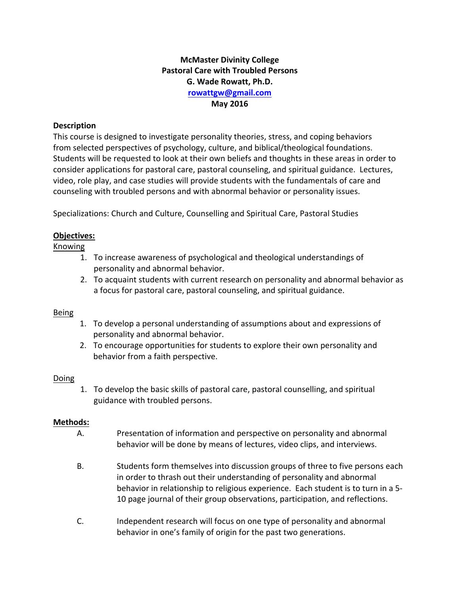## **McMaster Divinity College Pastoral Care with Troubled Persons G. Wade Rowatt, Ph.D. rowattgw@gmail.com May 2016**

### **Description**

This course is designed to investigate personality theories, stress, and coping behaviors from selected perspectives of psychology, culture, and biblical/theological foundations. Students will be requested to look at their own beliefs and thoughts in these areas in order to consider applications for pastoral care, pastoral counseling, and spiritual guidance. Lectures, video, role play, and case studies will provide students with the fundamentals of care and counseling with troubled persons and with abnormal behavior or personality issues.

Specializations: Church and Culture, Counselling and Spiritual Care, Pastoral Studies

## **Objectives:**

Knowing

- 1. To increase awareness of psychological and theological understandings of personality and abnormal behavior.
- 2. To acquaint students with current research on personality and abnormal behavior as a focus for pastoral care, pastoral counseling, and spiritual guidance.

## Being

- 1. To develop a personal understanding of assumptions about and expressions of personality and abnormal behavior.
- 2. To encourage opportunities for students to explore their own personality and behavior from a faith perspective.

## Doing

1. To develop the basic skills of pastoral care, pastoral counselling, and spiritual guidance with troubled persons.

## **Methods:**

- A. Presentation of information and perspective on personality and abnormal behavior will be done by means of lectures, video clips, and interviews.
- B. Students form themselves into discussion groups of three to five persons each in order to thrash out their understanding of personality and abnormal behavior in relationship to religious experience. Each student is to turn in a 5-10 page journal of their group observations, participation, and reflections.
- C. Independent research will focus on one type of personality and abnormal behavior in one's family of origin for the past two generations.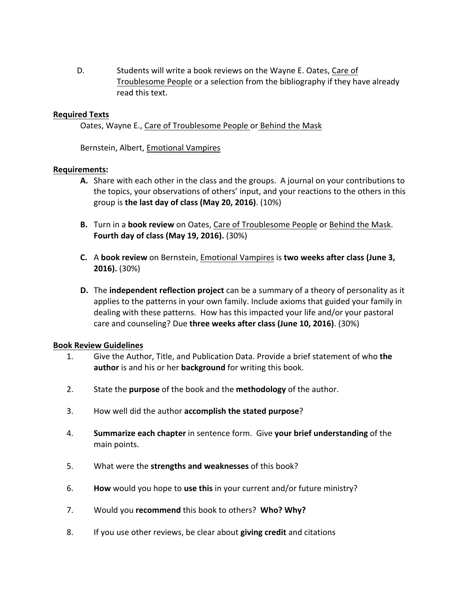D. Students will write a book reviews on the Wayne E. Oates, Care of Troublesome People or a selection from the bibliography if they have already read this text.

#### **Required Texts**

Oates, Wayne E., Care of Troublesome People or Behind the Mask

Bernstein, Albert, **Emotional Vampires** 

#### **Requirements:**

- **A.** Share with each other in the class and the groups. A journal on your contributions to the topics, your observations of others' input, and your reactions to the others in this group is **the last day of class (May 20, 2016)**. (10%)
- **B.** Turn in a book review on Oates, Care of Troublesome People or Behind the Mask. **Fourth day of class (May 19, 2016).** (30%)
- **C.** A book review on Bernstein, Emotional Vampires is two weeks after class (June 3, **2016).** (30%)
- **D.** The **independent reflection project** can be a summary of a theory of personality as it applies to the patterns in your own family. Include axioms that guided your family in dealing with these patterns. How has this impacted your life and/or your pastoral care and counseling? Due three weeks after class (June 10, 2016). (30%)

#### **Book Review Guidelines**

- 1. Give the Author, Title, and Publication Data. Provide a brief statement of who the **author** is and his or her **background** for writing this book.
- 2. State the **purpose** of the book and the **methodology** of the author.
- 3. How well did the author **accomplish the stated purpose**?
- 4. **Summarize each chapter** in sentence form. Give your brief understanding of the main points.
- 5. What were the **strengths and weaknesses** of this book?
- 6. **How** would you hope to use this in your current and/or future ministry?
- 7. Would you **recommend** this book to others? Who? Why?
- 8. If you use other reviews, be clear about **giving credit** and citations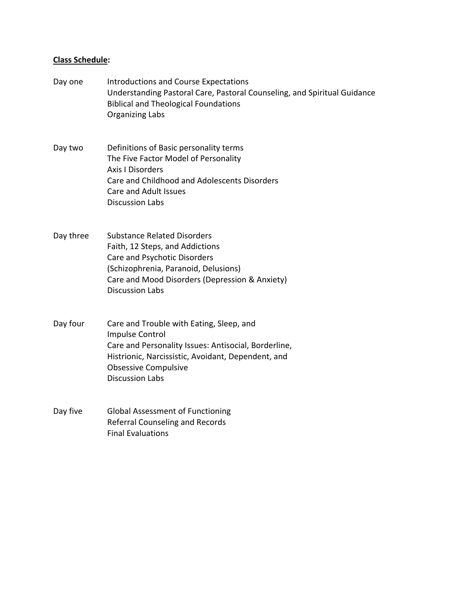# **Class Schedule:**

| Day one   | <b>Introductions and Course Expectations</b><br>Understanding Pastoral Care, Pastoral Counseling, and Spiritual Guidance<br><b>Biblical and Theological Foundations</b><br><b>Organizing Labs</b>                                  |
|-----------|------------------------------------------------------------------------------------------------------------------------------------------------------------------------------------------------------------------------------------|
| Day two   | Definitions of Basic personality terms<br>The Five Factor Model of Personality<br><b>Axis I Disorders</b><br>Care and Childhood and Adolescents Disorders<br><b>Care and Adult Issues</b><br><b>Discussion Labs</b>                |
| Day three | <b>Substance Related Disorders</b><br>Faith, 12 Steps, and Addictions<br><b>Care and Psychotic Disorders</b><br>(Schizophrenia, Paranoid, Delusions)<br>Care and Mood Disorders (Depression & Anxiety)<br><b>Discussion Labs</b>   |
| Day four  | Care and Trouble with Eating, Sleep, and<br>Impulse Control<br>Care and Personality Issues: Antisocial, Borderline,<br>Histrionic, Narcissistic, Avoidant, Dependent, and<br><b>Obsessive Compulsive</b><br><b>Discussion Labs</b> |
| Day five  | <b>Global Assessment of Functioning</b><br><b>Referral Counseling and Records</b><br><b>Final Evaluations</b>                                                                                                                      |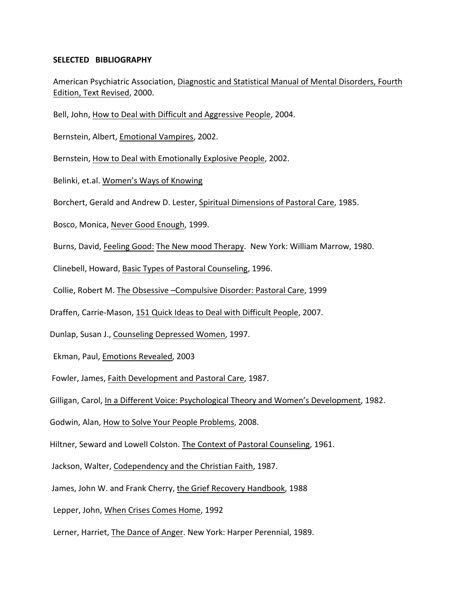#### **SELECTED BIBLIOGRAPHY**

American Psychiatric Association, Diagnostic and Statistical Manual of Mental Disorders, Fourth Edition, Text Revised, 2000.

Bell, John, How to Deal with Difficult and Aggressive People, 2004.

Bernstein, Albert, Emotional Vampires, 2002.

Bernstein, How to Deal with Emotionally Explosive People, 2002.

Belinki, et.al. Women's Ways of Knowing

Borchert, Gerald and Andrew D. Lester, Spiritual Dimensions of Pastoral Care, 1985.

Bosco, Monica, Never Good Enough, 1999.

Burns, David, Feeling Good: The New mood Therapy. New York: William Marrow, 1980.

Clinebell, Howard, Basic Types of Pastoral Counseling, 1996.

Collie, Robert M. The Obsessive -Compulsive Disorder: Pastoral Care, 1999

Draffen, Carrie-Mason, 151 Quick Ideas to Deal with Difficult People, 2007.

Dunlap, Susan J., Counseling Depressed Women, 1997.

Ekman, Paul, Emotions Revealed, 2003

Fowler, James, Faith Development and Pastoral Care, 1987.

Gilligan, Carol, In a Different Voice: Psychological Theory and Women's Development, 1982.

Godwin, Alan, How to Solve Your People Problems, 2008.

Hiltner, Seward and Lowell Colston. The Context of Pastoral Counseling, 1961.

Jackson, Walter, Codependency and the Christian Faith, 1987.

James, John W. and Frank Cherry, the Grief Recovery Handbook, 1988

Lepper, John, When Crises Comes Home, 1992

Lerner, Harriet, The Dance of Anger. New York: Harper Perennial, 1989.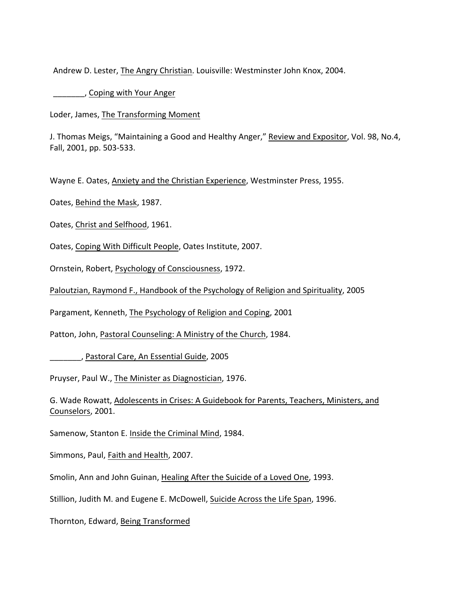Andrew D. Lester, The Angry Christian. Louisville: Westminster John Knox, 2004.

**Example 20**, Coping with Your Anger

Loder, James, The Transforming Moment

J. Thomas Meigs, "Maintaining a Good and Healthy Anger," Review and Expositor, Vol. 98, No.4, Fall, 2001, pp. 503-533.

Wayne E. Oates, Anxiety and the Christian Experience, Westminster Press, 1955.

Oates, Behind the Mask, 1987.

Oates, Christ and Selfhood, 1961.

Oates, Coping With Difficult People, Oates Institute, 2007.

Ornstein, Robert, Psychology of Consciousness, 1972.

Paloutzian, Raymond F., Handbook of the Psychology of Religion and Spirituality, 2005

Pargament, Kenneth, The Psychology of Religion and Coping, 2001

Patton, John, Pastoral Counseling: A Ministry of the Church, 1984.

\_\_\_\_\_\_\_, Pastoral Care, An Essential Guide, 2005

Pruyser, Paul W., The Minister as Diagnostician, 1976.

G. Wade Rowatt, Adolescents in Crises: A Guidebook for Parents, Teachers, Ministers, and Counselors, 2001.

Samenow, Stanton E. Inside the Criminal Mind, 1984.

Simmons, Paul, Faith and Health, 2007.

Smolin, Ann and John Guinan, Healing After the Suicide of a Loved One, 1993.

Stillion, Judith M. and Eugene E. McDowell, Suicide Across the Life Span, 1996.

Thornton, Edward, Being Transformed